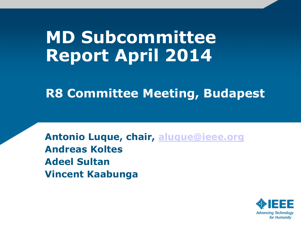# **MD Subcommittee Report April 2014**

**R8 Committee Meeting, Budapest**

**Antonio Luque, chair, [aluque@ieee.org](mailto:aluque@ieee.org) Andreas Koltes Adeel Sultan Vincent Kaabunga**

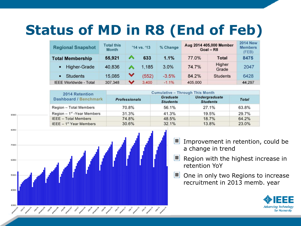# **Status of MD in R8 (End of Feb)**

| <b>Regional Snapshot</b>      | <b>Total this</b><br><b>Month</b> | '14 vs. '13  |       | % Change | Aug 2014 405,000 Member<br>$Goal - R8$ | <b>2014 New</b><br><b>Members</b><br>(FEB) |        |
|-------------------------------|-----------------------------------|--------------|-------|----------|----------------------------------------|--------------------------------------------|--------|
| <b>Total Membership</b>       | 55,921                            |              | 633   | 1.1%     | 77.0%                                  | Total                                      | 8475   |
| <b>Higher-Grade</b>           | 40,836                            |              | 1.185 | 3.0%     | 74.7%                                  | Higher<br>Grade                            | 2047   |
| <b>Students</b>               | 15,085                            | $\checkmark$ | (552) | $-3.5%$  | 84.2%                                  | <b>Students</b>                            | 6428   |
| <b>IEEE Worldwide - Total</b> | 307,348                           | v            | 3,400 | $-1.1\%$ | 405,000                                |                                            | 44,297 |

| 2014 Retention                 | <b>Cumulative - Through This Month</b> |                                    |                                         |              |  |  |  |  |  |  |
|--------------------------------|----------------------------------------|------------------------------------|-----------------------------------------|--------------|--|--|--|--|--|--|
| Dashboard / Benchmark          | <b>Professionals</b>                   | <b>Graduate</b><br><b>Students</b> | <b>Undergraduate</b><br><b>Students</b> | <b>Total</b> |  |  |  |  |  |  |
| Region - Total Members         | 70.8%                                  | 56.1%                              | 27.1%                                   | 63.8%        |  |  |  |  |  |  |
| Region $-1^{st}$ -Year Members | 31.3%                                  | 41.3%                              | 19.5%                                   | 29.7%        |  |  |  |  |  |  |
| <b>IEEE</b> - Total Members    | 74.8%                                  | 48.5%                              | 18.7%                                   | 64.2%        |  |  |  |  |  |  |
| IEEE $-1st$ Year Members       | 30.6%                                  | 32.1%                              | 13.8%                                   | 23.0%        |  |  |  |  |  |  |



90000

- Improvement in retention, could be a change in trend
- Region with the highest increase in retention YoY
- **ILI** One in only two Regions to increase recruitment in 2013 memb. year

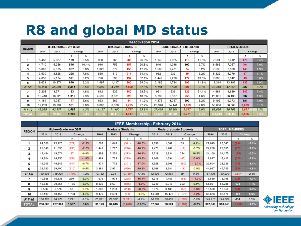### **R8 and global MD status**

| <b>Deactivation 2014</b> |                              |        |       |         |                          |        |        |       |                               |        |                  |       |                      |        |        |      |
|--------------------------|------------------------------|--------|-------|---------|--------------------------|--------|--------|-------|-------------------------------|--------|------------------|-------|----------------------|--------|--------|------|
| <b>REGION</b>            | <b>HIGHER GRADE w/o GSMs</b> |        |       |         | <b>GRADUATE STUDENTS</b> |        |        |       | <b>UNDERGRADUATE STUDENTS</b> |        |                  |       | <b>TOTAL MEMBERS</b> |        |        |      |
|                          | 2014                         | 2013   |       | Change  | 2014                     | 2013   | Change |       | 2014                          | 2013   | Change           |       | 2014                 | 2013   | Change |      |
|                          |                              |        | ᅭ     | %       |                          |        |        | $\%$  |                               |        | $\boldsymbol{t}$ | %     |                      |        |        | %    |
|                          | 5.488                        | 5.627  | 139   | 2.5%    | 960                      | 760    | 200    | 26.3% | 1.143                         | 1.025  | 118              | 11.5% | 7.591                | 7.412  | 179    | 2.4% |
| 2                        | 4.710                        | 5.256  | 546   | 10.4%   | 910                      | 753    | 157    | 20.8% | 946                           | 1.048  | 102              | 9.7%  | 6,566                | 7.057  | 491    | 7.0% |
| 3                        | 5.008                        | 5.375  | 367   | 6.8%    | 1,022                    | 872    | 150    | 17.2% | .505                          | .431   | 74               | 5.2%  | 7,535                | 7.678  | 143    | 1.9% |
| 4                        | 3.530                        | 3.828  | 298   | 7.8%    | 830                      | 619    | 211    | 34.1% | 962                           | 932    | 30               | 3.2%  | 5,322                | 5,379  | 57     | 1.1% |
| 5                        | 4.853                        | 5.174  | 321   | 6.2%    | 790                      | 598    | 192    | 32.1% | 1.442                         | .270   | 172              | 13.5% | 7.085                | 7.042  | 43     | 0.6% |
| 6                        | 9.631                        | 10.271 | 640   | 6.2%    | 1.497                    | 1.117  | 380    | 34.0% | 2.186                         | 1.794  | 392              | 21.9% | 13,314               | 13,182 | 132    | 1.0% |
| $R1-6$                   | 33,220                       | 35.531 | 2.311 | 6.5%    | 6.009                    | 4.719  | 1.290  | 27.3% | 8.184                         | 7.500  | 684              | 9.1%  | 47.413               | 47.750 | 337    | 0.7% |
| 7                        | 3.208                        | 3.371  | 163   | 4.8%    | 812                      | 632    | 180    | 28.5% | 961                           | 636    | 325              | 51.1% | 4.981                | 4.639  | 342    | 7.4% |
| 8                        | 15.410                       | 16.725 | 1,315 | 7.9%    | 4,599                    | 3,871  | 728    | 18.8% | 5.792                         | 5.537  | 255              | 4.6%  | 25,801               | 26,133 | 332    | 1.3% |
| 9                        | 4,184                        | 4.037  | 147   | 3.6%    | 633                      | 569    | 64     | 11.2% | 4,375                         | 4.767  | 392              | 8.2%  | 9,192                | 9.373  | 181    | 1.9% |
| 10                       | 19,233                       | 19.794 | 561   | 2.8%    | 8,083                    | 6,328  | 1,755  | 27.7% | 26,340                        | 24,441 | 1,899            | 7.8%  | 53,656               | 50,563 | 3,093  | 6.1% |
| R 7-10                   | 42.035                       | 43.927 | 1,892 | 4.3%    | 14.127                   | 11.400 | 2,727  | 23.9% | 37,468                        | 35,381 | 2.087            | 5.9%  | 93.630               | 90,708 | 2,922  | 3.2% |
| <b>TOTA</b>              | 75.255                       | 79,458 | 4,203 | $5.3\%$ | 20,136                   |        | 4,017  |       | 5.652                         | 42,88  | 2,771            | 6.5%  | 141.043              |        | 2,585  | 1.9% |

|               | <b>IEEE Membership - February 2014</b> |         |         |         |                          |        |         |          |        |        |                               |          |                      |         |         |         |
|---------------|----------------------------------------|---------|---------|---------|--------------------------|--------|---------|----------|--------|--------|-------------------------------|----------|----------------------|---------|---------|---------|
| <b>REGION</b> | Higher-Grade w/o GSM                   |         |         |         | <b>Graduate Students</b> |        |         |          |        |        | <b>Undergraduate Students</b> |          | <b>TOTAL MEMBERS</b> |         |         |         |
|               | 2014                                   | 2013    | Change  |         | 2014                     | 2013   | Change  |          | 2014   | 2013   | Change                        |          | 2014                 | 2013    | Change  |         |
|               |                                        |         | #       | %       |                          |        | %<br>₩  |          |        |        | #                             | %        |                      |         | #       | ℅       |
| 1             | 24,506                                 | 25,128  | (622)   | $-2.5%$ | 1,507                    | 1,848  | (341)   | $-18.5%$ | .636   | 1,567  | 69                            | 4.4%     | 27,649               | 28.543  | 894)    | $-3.1%$ |
| 2             | 21,346                                 | 21,836  | (490)   | $-2.2%$ | 1,441                    | 1.717  | (276)   | $-16.1%$ | 1.471  | 1,482  | (11)                          | $-0.7%$  | 24,258               | 25.035  | (777)   | $-3.1%$ |
| 3             | 19.484                                 | 19,571  | (87)    | $-0.4%$ | 1.898                    | 2,270  | (372)   | $-16.4%$ | 2.718  | 2,334  | 384                           | 16.5%    | 24,100               | 24.175  | (75)    | $-0.3%$ |
| 4             | 14,804                                 | 14.955  | (151)   | $-1.0%$ | 1,484                    | 1.763  | (279)   | $-15.8%$ | 1.609  | 1.694  | (85)                          | $-5.0%$  | 17,897               | 18.412  | (515)   | $-2.8%$ |
| 5             | 19,205                                 | 19,349  | (144)   | $-0.7%$ | 1,471                    | 1,772  | (301)   | $-17.0%$ | 1.928  | 2,208  | (280)                         | $-12.7%$ | 22,604               | 23.329  | (725)   | $-3.1%$ |
| 6             | 39.280                                 | 39,490  | (210)   | $-0.5%$ | 2.381                    | 2.971  | (590)   | $-19.9%$ | 3.266  | 3.284  | (18)                          | $-0.5%$  | 44.927               | 45.745  | (818)   | $-1.8%$ |
| R 1-6         | 138.625                                | 140.329 | (1,704) | $-1.2%$ | 10.182                   | 12.341 | (2.159) | $-17.5%$ | 12,628 | 12,569 | 59                            | 0.5%     | 161.435              | 165,239 | (3,804) | $-2.3%$ |
| 7             | 10,568                                 | 10,338  | 230     | 2.2%    | 1,676                    | 1,974  | (298)   | $-15.1%$ | 1.315  | 1,483  | 168)                          | $-11.3%$ | 13,559               | 13.795  | (236)   | $-1.7%$ |
| 8             | 40.836                                 | 39,651  | 1.185   | 3.0%    | 8.836                    | 9,691  | (855)   | $-8.8%$  | 6.249  | 5.946  | 303                           | 5.1%     | 55,921               | 55.288  | 633     | 1.1%    |
| 9             | 6,586                                  | 6,528   | 58      | 0.9%    | 1.000                    | .298   | (298)   | $-23.0%$ | 2.974  | 3.130  | (156)                         | $-5.0%$  | 10,560               | 10.956  | (396)   | $-3.6%$ |
| 10            | 42.193                                 | 40.455  | 1.738   | 4.3%    | 9.479                    | 9.539  | (60)    | $-0.6%$  | 14,201 | 15,476 | (1, 275)                      | $-8.2%$  | 65.873               | 65.470  | 403     | 0.6%    |
| R 7-10        | 100.183                                | 96,972  | 3.211   | 3.3%    | 20.991                   | 22,502 | (1,511) | $-6.7%$  | 24.739 | 26.035 | (1, 296)                      | $-5.0%$  | 145.913              | 145,509 | 404     | 0.3%    |
| <b>TOTAL</b>  | 238,808                                | 237,301 | 1,507   | 0.6%    | 31,173                   | 34,843 | (3,670) | $-10.5%$ | 37,367 | 38,604 | (1, 237)                      | $-3.2%$  | 307,348              | 310,748 | (3,400) | $-1.1%$ |

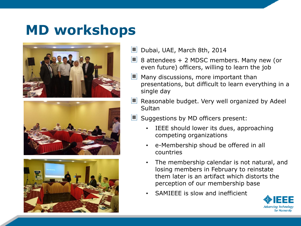#### **MD workshops**







- Dubai, UAE, March 8th, 2014
- $\Box$  8 attendees + 2 MDSC members. Many new (or even future) officers, willing to learn the job
- Many discussions, more important than presentations, but difficult to learn everything in a single day
- $\Box$  Reasonable budget. Very well organized by Adeel **Sultan**
- I DI Suggestions by MD officers present:
	- IEEE should lower its dues, approaching competing organizations
	- e-Membership shoud be offered in all countries
	- The membership calendar is not natural, and losing members in February to reinstate them later is an artifact which distorts the perception of our membership base
	- SAMIEEE is slow and inefficient

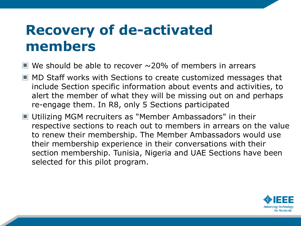### **Recovery of de-activated members**

- $\blacksquare$  We should be able to recover  $\sim$  20% of members in arrears
- MD Staff works with Sections to create customized messages that include Section specific information about events and activities, to alert the member of what they will be missing out on and perhaps re-engage them. In R8, only 5 Sections participated
- Utilizing MGM recruiters as "Member Ambassadors" in their respective sections to reach out to members in arrears on the value to renew their membership. The Member Ambassadors would use their membership experience in their conversations with their section membership. Tunisia, Nigeria and UAE Sections have been selected for this pilot program.